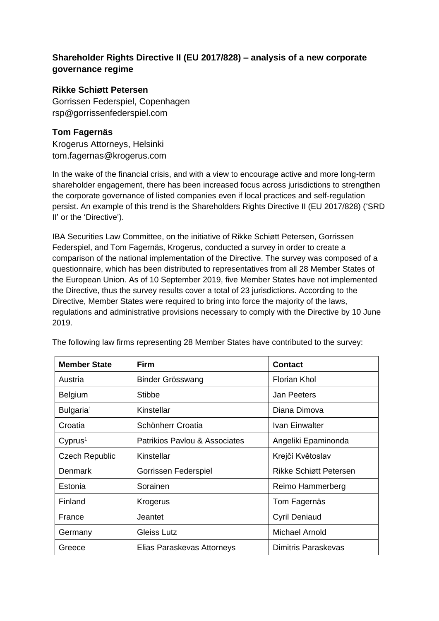# **Shareholder Rights Directive II (EU 2017/828) – analysis of a new corporate governance regime**

# **Rikke Schiøtt Petersen**

Gorrissen Federspiel, Copenhagen rsp@gorrissenfederspiel.com

# **Tom Fagernäs**

Krogerus Attorneys, Helsinki tom.fagernas@krogerus.com

In the wake of the financial crisis, and with a view to encourage active and more long-term shareholder engagement, there has been increased focus across jurisdictions to strengthen the corporate governance of listed companies even if local practices and self-regulation persist. An example of this trend is the Shareholders Rights Directive II (EU 2017/828) ('SRD II' or the 'Directive').

IBA Securities Law Committee, on the initiative of Rikke Schiøtt Petersen, Gorrissen Federspiel, and Tom Fagernäs, Krogerus, conducted a survey in order to create a comparison of the national implementation of the Directive. The survey was composed of a questionnaire, which has been distributed to representatives from all 28 Member States of the European Union. As of 10 September 2019, five Member States have not implemented the Directive, thus the survey results cover a total of 23 jurisdictions. According to the Directive, Member States were required to bring into force the majority of the laws, regulations and administrative provisions necessary to comply with the Directive by 10 June 2019.

| <b>Member State</b>   | <b>Firm</b>                   | <b>Contact</b>         |
|-----------------------|-------------------------------|------------------------|
| Austria               | Binder Grösswang              | <b>Florian Khol</b>    |
| <b>Belgium</b>        | Stibbe                        | Jan Peeters            |
| Bulgaria <sup>1</sup> | Kinstellar                    | Diana Dimova           |
| Croatia               | Schönherr Croatia             | Ivan Einwalter         |
| Cyprus <sup>1</sup>   | Patrikios Paylou & Associates | Angeliki Epaminonda    |
| <b>Czech Republic</b> | Kinstellar                    | Krejčí Květoslav       |
| Denmark               | Gorrissen Federspiel          | Rikke Schiøtt Petersen |
| Estonia               | Sorainen                      | Reimo Hammerberg       |
| Finland               | Krogerus                      | Tom Fagernäs           |
| France                | Jeantet                       | <b>Cyril Deniaud</b>   |
| Germany               | <b>Gleiss Lutz</b>            | Michael Arnold         |
| Greece                | Elias Paraskevas Attorneys    | Dimitris Paraskevas    |

The following law firms representing 28 Member States have contributed to the survey: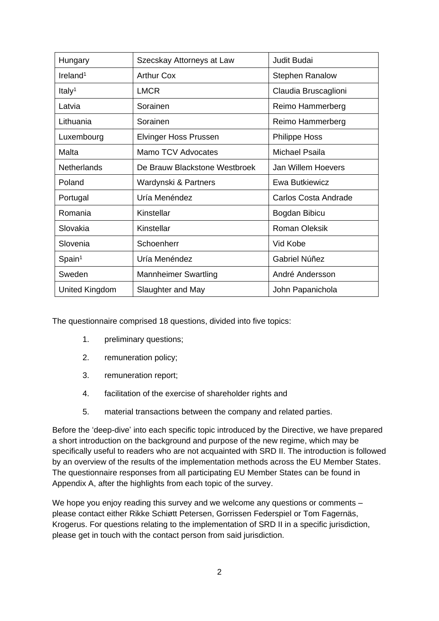| Hungary              | Szecskay Attorneys at Law     | Judit Budai               |
|----------------------|-------------------------------|---------------------------|
| Ireland <sup>1</sup> | <b>Arthur Cox</b>             | <b>Stephen Ranalow</b>    |
| Italy <sup>1</sup>   | <b>LMCR</b>                   | Claudia Bruscaglioni      |
| Latvia               | Sorainen                      | Reimo Hammerberg          |
| Lithuania            | Sorainen                      | Reimo Hammerberg          |
| Luxembourg           | <b>Elvinger Hoss Prussen</b>  | <b>Philippe Hoss</b>      |
| Malta                | Mamo TCV Advocates            | Michael Psaila            |
| Netherlands          | De Brauw Blackstone Westbroek | <b>Jan Willem Hoevers</b> |
| Poland               | Wardynski & Partners          | Ewa Butkiewicz            |
|                      |                               |                           |
| Portugal             | Uría Menéndez                 | Carlos Costa Andrade      |
| Romania              | Kinstellar                    | Bogdan Bibicu             |
| Slovakia             | Kinstellar                    | <b>Roman Oleksik</b>      |
| Slovenia             | Schoenherr                    | Vid Kobe                  |
| Span <sup>1</sup>    | Uría Menéndez                 | Gabriel Núñez             |
| Sweden               | <b>Mannheimer Swartling</b>   | André Andersson           |

The questionnaire comprised 18 questions, divided into five topics:

- 1. preliminary questions;
- 2. remuneration policy;
- 3. remuneration report;
- 4. facilitation of the exercise of shareholder rights and
- 5. material transactions between the company and related parties.

Before the 'deep-dive' into each specific topic introduced by the Directive, we have prepared a short introduction on the background and purpose of the new regime, which may be specifically useful to readers who are not acquainted with SRD II. The introduction is followed by an overview of the results of the implementation methods across the EU Member States. The questionnaire responses from all participating EU Member States can be found in Appendix A, after the highlights from each topic of the survey.

We hope you enjoy reading this survey and we welcome any questions or comments – please contact either Rikke Schiøtt Petersen, Gorrissen Federspiel or Tom Fagernäs, Krogerus. For questions relating to the implementation of SRD II in a specific jurisdiction, please get in touch with the contact person from said jurisdiction.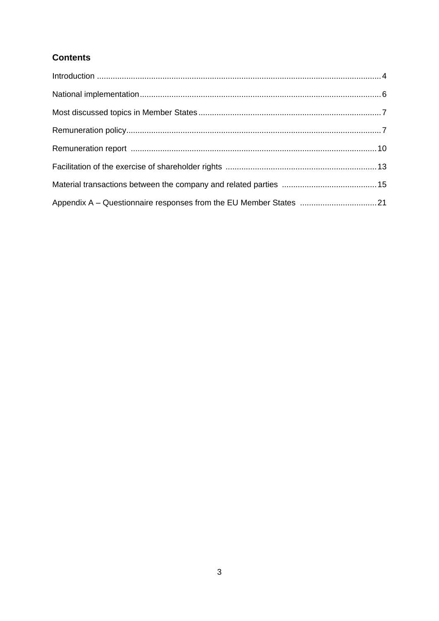# **Contents**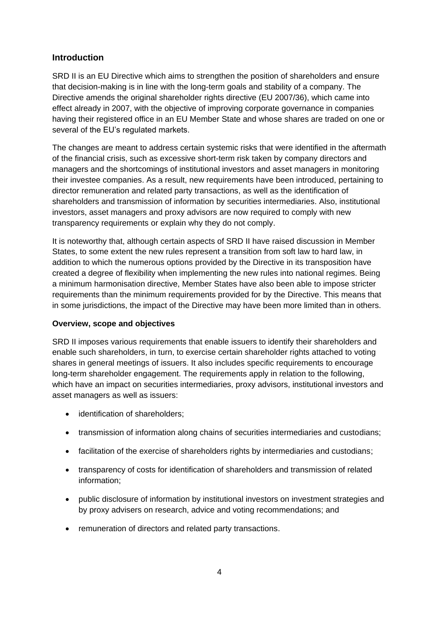# **Introduction**

SRD II is an EU Directive which aims to strengthen the position of shareholders and ensure that decision-making is in line with the long-term goals and stability of a company. The Directive amends the original shareholder rights directive (EU 2007/36), which came into effect already in 2007, with the objective of improving corporate governance in companies having their registered office in an EU Member State and whose shares are traded on one or several of the EU's regulated markets.

The changes are meant to address certain systemic risks that were identified in the aftermath of the financial crisis, such as excessive short-term risk taken by company directors and managers and the shortcomings of institutional investors and asset managers in monitoring their investee companies. As a result, new requirements have been introduced, pertaining to director remuneration and related party transactions, as well as the identification of shareholders and transmission of information by securities intermediaries. Also, institutional investors, asset managers and proxy advisors are now required to comply with new transparency requirements or explain why they do not comply.

It is noteworthy that, although certain aspects of SRD II have raised discussion in Member States, to some extent the new rules represent a transition from soft law to hard law, in addition to which the numerous options provided by the Directive in its transposition have created a degree of flexibility when implementing the new rules into national regimes. Being a minimum harmonisation directive, Member States have also been able to impose stricter requirements than the minimum requirements provided for by the Directive. This means that in some jurisdictions, the impact of the Directive may have been more limited than in others.

#### **Overview, scope and objectives**

SRD II imposes various requirements that enable issuers to identify their shareholders and enable such shareholders, in turn, to exercise certain shareholder rights attached to voting shares in general meetings of issuers. It also includes specific requirements to encourage long-term shareholder engagement. The requirements apply in relation to the following, which have an impact on securities intermediaries, proxy advisors, institutional investors and asset managers as well as issuers:

- identification of shareholders;
- transmission of information along chains of securities intermediaries and custodians;
- facilitation of the exercise of shareholders rights by intermediaries and custodians;
- transparency of costs for identification of shareholders and transmission of related information;
- public disclosure of information by institutional investors on investment strategies and by proxy advisers on research, advice and voting recommendations; and
- remuneration of directors and related party transactions.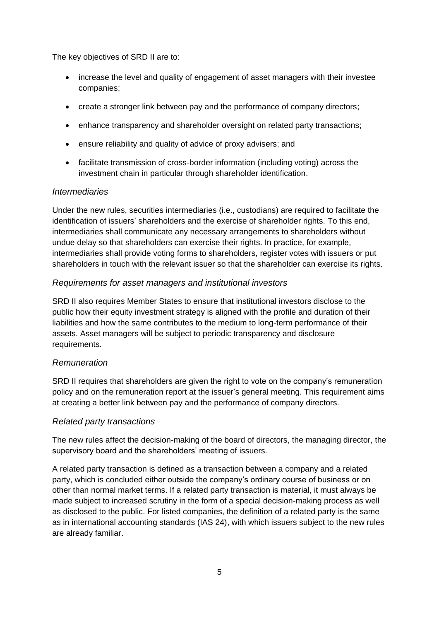The key objectives of SRD II are to:

- increase the level and quality of engagement of asset managers with their investee companies;
- create a stronger link between pay and the performance of company directors;
- enhance transparency and shareholder oversight on related party transactions;
- ensure reliability and quality of advice of proxy advisers; and
- facilitate transmission of cross-border information (including voting) across the investment chain in particular through shareholder identification.

# *Intermediaries*

Under the new rules, securities intermediaries (i.e., custodians) are required to facilitate the identification of issuers' shareholders and the exercise of shareholder rights. To this end, intermediaries shall communicate any necessary arrangements to shareholders without undue delay so that shareholders can exercise their rights. In practice, for example, intermediaries shall provide voting forms to shareholders, register votes with issuers or put shareholders in touch with the relevant issuer so that the shareholder can exercise its rights.

## *Requirements for asset managers and institutional investors*

SRD II also requires Member States to ensure that institutional investors disclose to the public how their equity investment strategy is aligned with the profile and duration of their liabilities and how the same contributes to the medium to long-term performance of their assets. Asset managers will be subject to periodic transparency and disclosure requirements.

## *Remuneration*

SRD II requires that shareholders are given the right to vote on the company's remuneration policy and on the remuneration report at the issuer's general meeting. This requirement aims at creating a better link between pay and the performance of company directors.

## *Related party transactions*

The new rules affect the decision-making of the board of directors, the managing director, the supervisory board and the shareholders' meeting of issuers.

A related party transaction is defined as a transaction between a company and a related party, which is concluded either outside the company's ordinary course of business or on other than normal market terms. If a related party transaction is material, it must always be made subject to increased scrutiny in the form of a special decision-making process as well as disclosed to the public. For listed companies, the definition of a related party is the same as in international accounting standards (IAS 24), with which issuers subject to the new rules are already familiar.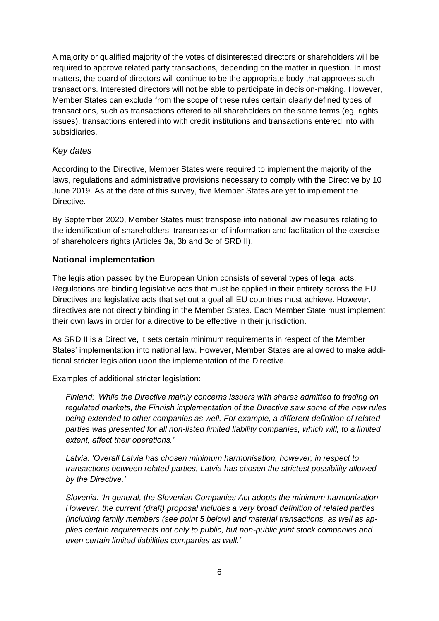A majority or qualified majority of the votes of disinterested directors or shareholders will be required to approve related party transactions, depending on the matter in question. In most matters, the board of directors will continue to be the appropriate body that approves such transactions. Interested directors will not be able to participate in decision-making. However, Member States can exclude from the scope of these rules certain clearly defined types of transactions, such as transactions offered to all shareholders on the same terms (eg, rights issues), transactions entered into with credit institutions and transactions entered into with subsidiaries.

#### *Key dates*

According to the Directive, Member States were required to implement the majority of the laws, regulations and administrative provisions necessary to comply with the Directive by 10 June 2019. As at the date of this survey, five Member States are yet to implement the **Directive** 

By September 2020, Member States must transpose into national law measures relating to the identification of shareholders, transmission of information and facilitation of the exercise of shareholders rights (Articles 3a, 3b and 3c of SRD II).

## **National implementation**

The legislation passed by the European Union consists of several types of legal acts. Regulations are binding legislative acts that must be applied in their entirety across the EU. Directives are legislative acts that set out a goal all EU countries must achieve. However, directives are not directly binding in the Member States. Each Member State must implement their own laws in order for a directive to be effective in their jurisdiction.

As SRD II is a Directive, it sets certain minimum requirements in respect of the Member States' implementation into national law. However, Member States are allowed to make additional stricter legislation upon the implementation of the Directive.

Examples of additional stricter legislation:

*Finland: 'While the Directive mainly concerns issuers with shares admitted to trading on regulated markets, the Finnish implementation of the Directive saw some of the new rules being extended to other companies as well. For example, a different definition of related parties was presented for all non-listed limited liability companies, which will, to a limited extent, affect their operations.'*

*Latvia: 'Overall Latvia has chosen minimum harmonisation, however, in respect to transactions between related parties, Latvia has chosen the strictest possibility allowed by the Directive.'*

*Slovenia: 'In general, the Slovenian Companies Act adopts the minimum harmonization. However, the current (draft) proposal includes a very broad definition of related parties (including family members (see point 5 below) and material transactions, as well as applies certain requirements not only to public, but non-public joint stock companies and even certain limited liabilities companies as well.'*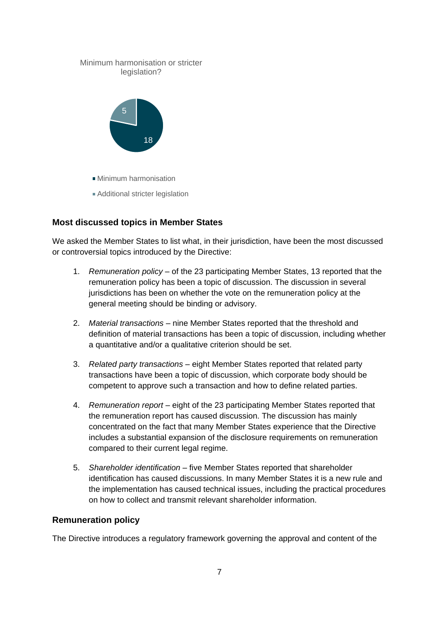

# **Most discussed topics in Member States**

We asked the Member States to list what, in their jurisdiction, have been the most discussed or controversial topics introduced by the Directive:

- 1. *Remuneration policy* of the 23 participating Member States, 13 reported that the remuneration policy has been a topic of discussion. The discussion in several jurisdictions has been on whether the vote on the remuneration policy at the general meeting should be binding or advisory.
- 2. *Material transactions* nine Member States reported that the threshold and definition of material transactions has been a topic of discussion, including whether a quantitative and/or a qualitative criterion should be set.
- 3. *Related party transactions* eight Member States reported that related party transactions have been a topic of discussion, which corporate body should be competent to approve such a transaction and how to define related parties.
- 4. *Remuneration report* eight of the 23 participating Member States reported that the remuneration report has caused discussion. The discussion has mainly concentrated on the fact that many Member States experience that the Directive includes a substantial expansion of the disclosure requirements on remuneration compared to their current legal regime.
- 5. *Shareholder identification* five Member States reported that shareholder identification has caused discussions. In many Member States it is a new rule and the implementation has caused technical issues, including the practical procedures on how to collect and transmit relevant shareholder information.

#### **Remuneration policy**

The Directive introduces a regulatory framework governing the approval and content of the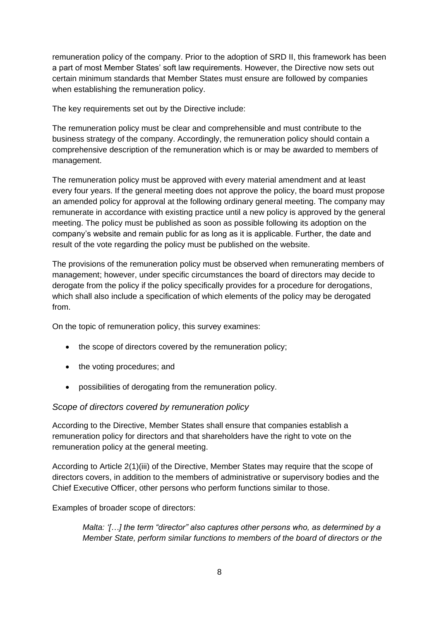remuneration policy of the company. Prior to the adoption of SRD II, this framework has been a part of most Member States' soft law requirements. However, the Directive now sets out certain minimum standards that Member States must ensure are followed by companies when establishing the remuneration policy.

The key requirements set out by the Directive include:

The remuneration policy must be clear and comprehensible and must contribute to the business strategy of the company. Accordingly, the remuneration policy should contain a comprehensive description of the remuneration which is or may be awarded to members of management.

The remuneration policy must be approved with every material amendment and at least every four years. If the general meeting does not approve the policy, the board must propose an amended policy for approval at the following ordinary general meeting. The company may remunerate in accordance with existing practice until a new policy is approved by the general meeting. The policy must be published as soon as possible following its adoption on the company's website and remain public for as long as it is applicable. Further, the date and result of the vote regarding the policy must be published on the website.

The provisions of the remuneration policy must be observed when remunerating members of management; however, under specific circumstances the board of directors may decide to derogate from the policy if the policy specifically provides for a procedure for derogations, which shall also include a specification of which elements of the policy may be derogated from.

On the topic of remuneration policy, this survey examines:

- the scope of directors covered by the remuneration policy;
- the voting procedures; and
- possibilities of derogating from the remuneration policy.

## *Scope of directors covered by remuneration policy*

According to the Directive, Member States shall ensure that companies establish a remuneration policy for directors and that shareholders have the right to vote on the remuneration policy at the general meeting.

According to Article 2(1)(iii) of the Directive, Member States may require that the scope of directors covers, in addition to the members of administrative or supervisory bodies and the Chief Executive Officer, other persons who perform functions similar to those.

Examples of broader scope of directors:

*Malta: '[…] the term "director" also captures other persons who, as determined by a Member State, perform similar functions to members of the board of directors or the*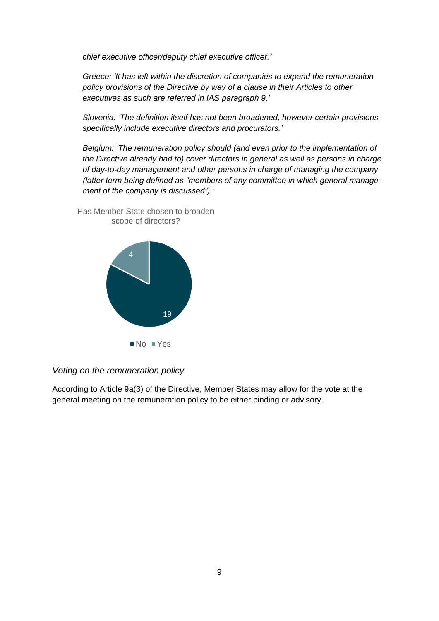*chief executive officer/deputy chief executive officer.'*

*Greece: 'It has left within the discretion of companies to expand the remuneration policy provisions of the Directive by way of a clause in their Articles to other executives as such are referred in IAS paragraph 9.'*

*Slovenia: 'The definition itself has not been broadened, however certain provisions specifically include executive directors and procurators.'*

*Belgium: 'The remuneration policy should (and even prior to the implementation of the Directive already had to) cover directors in general as well as persons in charge of day-to-day management and other persons in charge of managing the company (latter term being defined as "members of any committee in which general management of the company is discussed").'*



Has Member State chosen to broaden scope of directors?

*Voting on the remuneration policy*

According to Article 9a(3) of the Directive, Member States may allow for the vote at the general meeting on the remuneration policy to be either binding or advisory.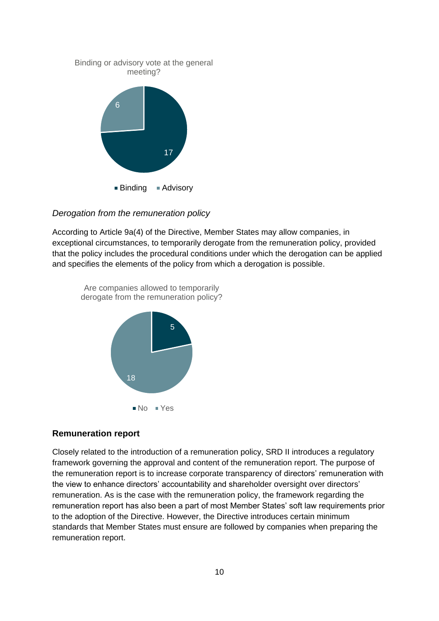

#### *Derogation from the remuneration policy*

According to Article 9a(4) of the Directive, Member States may allow companies, in exceptional circumstances, to temporarily derogate from the remuneration policy, provided that the policy includes the procedural conditions under which the derogation can be applied and specifies the elements of the policy from which a derogation is possible.



#### **Remuneration report**

Closely related to the introduction of a remuneration policy, SRD II introduces a regulatory framework governing the approval and content of the remuneration report. The purpose of the remuneration report is to increase corporate transparency of directors' remuneration with the view to enhance directors' accountability and shareholder oversight over directors' remuneration. As is the case with the remuneration policy, the framework regarding the remuneration report has also been a part of most Member States' soft law requirements prior to the adoption of the Directive. However, the Directive introduces certain minimum standards that Member States must ensure are followed by companies when preparing the remuneration report.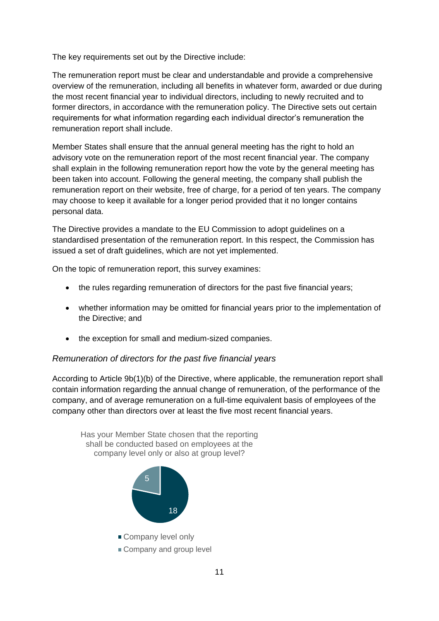The key requirements set out by the Directive include:

The remuneration report must be clear and understandable and provide a comprehensive overview of the remuneration, including all benefits in whatever form, awarded or due during the most recent financial year to individual directors, including to newly recruited and to former directors, in accordance with the remuneration policy. The Directive sets out certain requirements for what information regarding each individual director's remuneration the remuneration report shall include.

Member States shall ensure that the annual general meeting has the right to hold an advisory vote on the remuneration report of the most recent financial year. The company shall explain in the following remuneration report how the vote by the general meeting has been taken into account. Following the general meeting, the company shall publish the remuneration report on their website, free of charge, for a period of ten years. The company may choose to keep it available for a longer period provided that it no longer contains personal data.

The Directive provides a mandate to the EU Commission to adopt guidelines on a standardised presentation of the remuneration report. In this respect, the Commission has issued a set of draft guidelines, which are not yet implemented.

On the topic of remuneration report, this survey examines:

- the rules regarding remuneration of directors for the past five financial years;
- whether information may be omitted for financial years prior to the implementation of the Directive; and
- the exception for small and medium-sized companies.

## *Remuneration of directors for the past five financial years*

According to Article 9b(1)(b) of the Directive, where applicable, the remuneration report shall contain information regarding the annual change of remuneration, of the performance of the company, and of average remuneration on a full-time equivalent basis of employees of the company other than directors over at least the five most recent financial years.

Has your Member State chosen that the reporting shall be conducted based on employees at the company level only or also at group level?



- Company level only
- Company and group level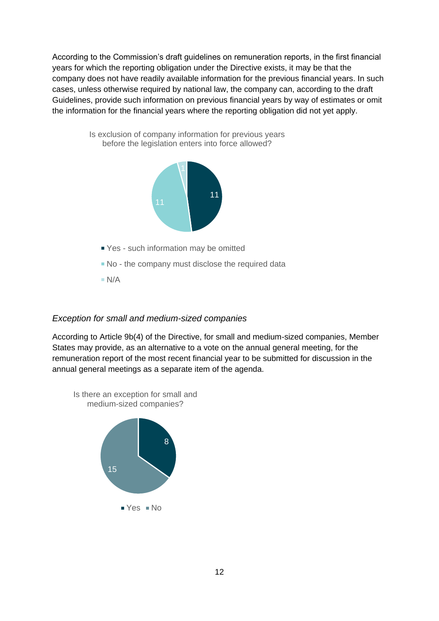According to the Commission's draft guidelines on remuneration reports, in the first financial years for which the reporting obligation under the Directive exists, it may be that the company does not have readily available information for the previous financial years. In such cases, unless otherwise required by national law, the company can, according to the draft Guidelines, provide such information on previous financial years by way of estimates or omit the information for the financial years where the reporting obligation did not yet apply.



Is exclusion of company information for previous years before the legislation enters into force allowed?

## *Exception for small and medium-sized companies*

According to Article 9b(4) of the Directive, for small and medium-sized companies, Member States may provide, as an alternative to a vote on the annual general meeting, for the remuneration report of the most recent financial year to be submitted for discussion in the annual general meetings as a separate item of the agenda.

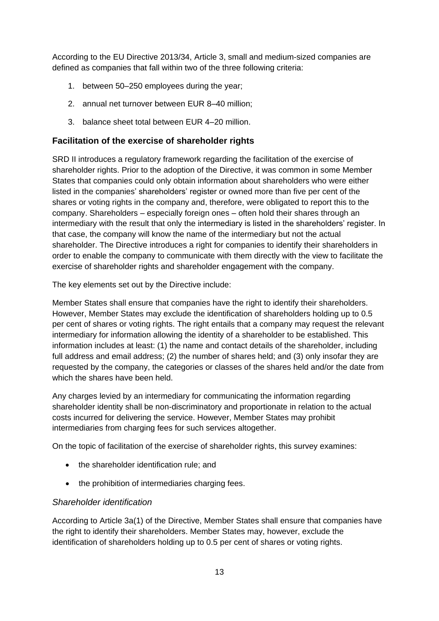According to the EU Directive 2013/34, Article 3, small and medium-sized companies are defined as companies that fall within two of the three following criteria:

- 1. between 50–250 employees during the year;
- 2. annual net turnover between EUR 8–40 million;
- 3. balance sheet total between EUR 4–20 million.

# **Facilitation of the exercise of shareholder rights**

SRD II introduces a regulatory framework regarding the facilitation of the exercise of shareholder rights. Prior to the adoption of the Directive, it was common in some Member States that companies could only obtain information about shareholders who were either listed in the companies' shareholders' register or owned more than five per cent of the shares or voting rights in the company and, therefore, were obligated to report this to the company. Shareholders – especially foreign ones – often hold their shares through an intermediary with the result that only the intermediary is listed in the shareholders' register. In that case, the company will know the name of the intermediary but not the actual shareholder. The Directive introduces a right for companies to identify their shareholders in order to enable the company to communicate with them directly with the view to facilitate the exercise of shareholder rights and shareholder engagement with the company.

The key elements set out by the Directive include:

Member States shall ensure that companies have the right to identify their shareholders. However, Member States may exclude the identification of shareholders holding up to 0.5 per cent of shares or voting rights. The right entails that a company may request the relevant intermediary for information allowing the identity of a shareholder to be established. This information includes at least: (1) the name and contact details of the shareholder, including full address and email address; (2) the number of shares held; and (3) only insofar they are requested by the company, the categories or classes of the shares held and/or the date from which the shares have been held.

Any charges levied by an intermediary for communicating the information regarding shareholder identity shall be non-discriminatory and proportionate in relation to the actual costs incurred for delivering the service. However, Member States may prohibit intermediaries from charging fees for such services altogether.

On the topic of facilitation of the exercise of shareholder rights, this survey examines:

- the shareholder identification rule; and
- the prohibition of intermediaries charging fees.

## *Shareholder identification*

According to Article 3a(1) of the Directive, Member States shall ensure that companies have the right to identify their shareholders. Member States may, however, exclude the identification of shareholders holding up to 0.5 per cent of shares or voting rights.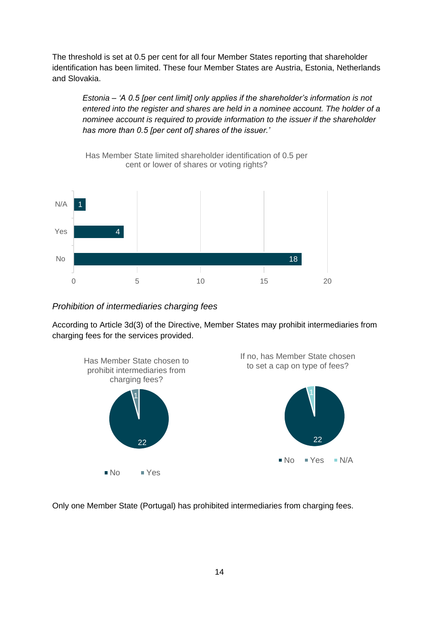The threshold is set at 0.5 per cent for all four Member States reporting that shareholder identification has been limited. These four Member States are Austria, Estonia, Netherlands and Slovakia.

*Estonia – 'A 0.5 [per cent limit] only applies if the shareholder's information is not entered into the register and shares are held in a nominee account. The holder of a nominee account is required to provide information to the issuer if the shareholder has more than 0.5 [per cent of] shares of the issuer.'*



*Prohibition of intermediaries charging fees*

According to Article 3d(3) of the Directive, Member States may prohibit intermediaries from charging fees for the services provided.



Only one Member State (Portugal) has prohibited intermediaries from charging fees.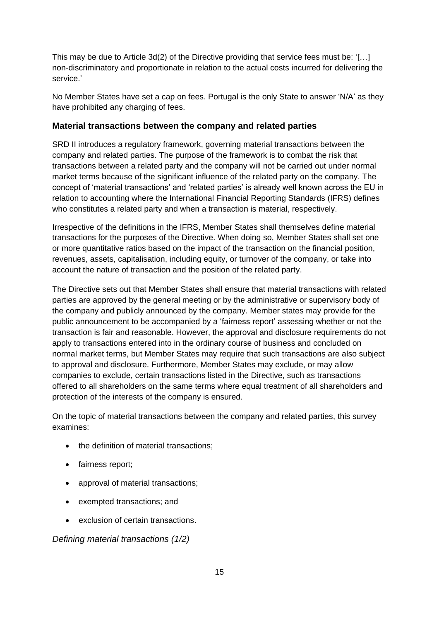This may be due to Article 3d(2) of the Directive providing that service fees must be: '[…] non-discriminatory and proportionate in relation to the actual costs incurred for delivering the service.'

No Member States have set a cap on fees. Portugal is the only State to answer 'N/A' as they have prohibited any charging of fees.

# **Material transactions between the company and related parties**

SRD II introduces a regulatory framework, governing material transactions between the company and related parties. The purpose of the framework is to combat the risk that transactions between a related party and the company will not be carried out under normal market terms because of the significant influence of the related party on the company. The concept of 'material transactions' and 'related parties' is already well known across the EU in relation to accounting where the International Financial Reporting Standards (IFRS) defines who constitutes a related party and when a transaction is material, respectively.

Irrespective of the definitions in the IFRS, Member States shall themselves define material transactions for the purposes of the Directive. When doing so, Member States shall set one or more quantitative ratios based on the impact of the transaction on the financial position, revenues, assets, capitalisation, including equity, or turnover of the company, or take into account the nature of transaction and the position of the related party.

The Directive sets out that Member States shall ensure that material transactions with related parties are approved by the general meeting or by the administrative or supervisory body of the company and publicly announced by the company. Member states may provide for the public announcement to be accompanied by a 'fairness report' assessing whether or not the transaction is fair and reasonable. However, the approval and disclosure requirements do not apply to transactions entered into in the ordinary course of business and concluded on normal market terms, but Member States may require that such transactions are also subject to approval and disclosure. Furthermore, Member States may exclude, or may allow companies to exclude, certain transactions listed in the Directive, such as transactions offered to all shareholders on the same terms where equal treatment of all shareholders and protection of the interests of the company is ensured.

On the topic of material transactions between the company and related parties, this survey examines:

- the definition of material transactions;
- fairness report;
- approval of material transactions;
- exempted transactions; and
- exclusion of certain transactions.

*Defining material transactions (1/2)*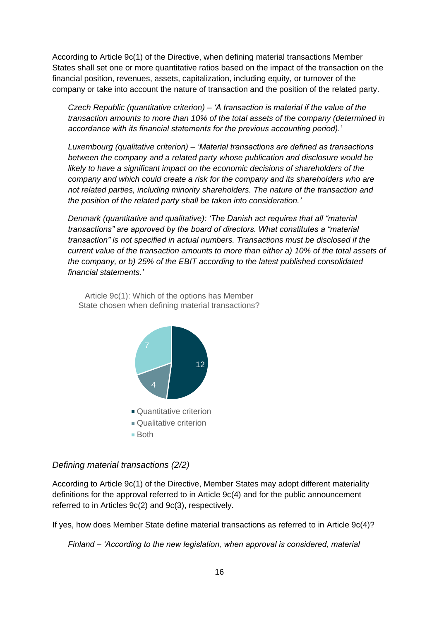According to Article 9c(1) of the Directive, when defining material transactions Member States shall set one or more quantitative ratios based on the impact of the transaction on the financial position, revenues, assets, capitalization, including equity, or turnover of the company or take into account the nature of transaction and the position of the related party.

*Czech Republic (quantitative criterion) – 'A transaction is material if the value of the transaction amounts to more than 10% of the total assets of the company (determined in accordance with its financial statements for the previous accounting period).'*

*Luxembourg (qualitative criterion) – 'Material transactions are defined as transactions between the company and a related party whose publication and disclosure would be likely to have a significant impact on the economic decisions of shareholders of the company and which could create a risk for the company and its shareholders who are not related parties, including minority shareholders. The nature of the transaction and the position of the related party shall be taken into consideration.'*

*Denmark (quantitative and qualitative): 'The Danish act requires that all "material transactions" are approved by the board of directors. What constitutes a "material transaction" is not specified in actual numbers. Transactions must be disclosed if the current value of the transaction amounts to more than either a) 10% of the total assets of the company, or b) 25% of the EBIT according to the latest published consolidated financial statements.'*

Article 9c(1): Which of the options has Member State chosen when defining material transactions?



*Defining material transactions (2/2)*

According to Article 9c(1) of the Directive, Member States may adopt different materiality definitions for the approval referred to in Article 9c(4) and for the public announcement referred to in Articles 9c(2) and 9c(3), respectively.

If yes, how does Member State define material transactions as referred to in Article 9c(4)?

*Finland – 'According to the new legislation, when approval is considered, material*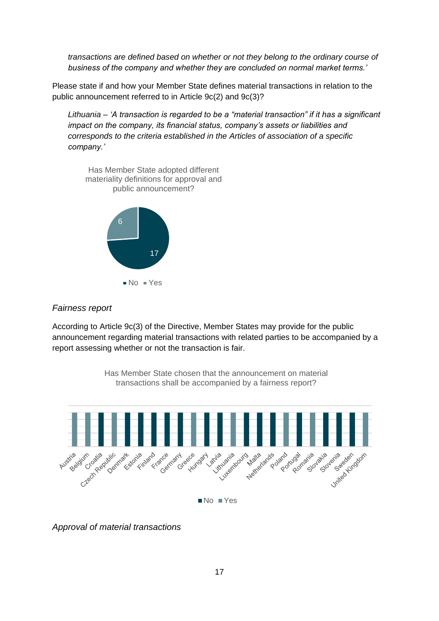*transactions are defined based on whether or not they belong to the ordinary course of business of the company and whether they are concluded on normal market terms.'*

Please state if and how your Member State defines material transactions in relation to the public announcement referred to in Article 9c(2) and 9c(3)?

*Lithuania – 'A transaction is regarded to be a "material transaction" if it has a significant impact on the company, its financial status, company's assets or liabilities and corresponds to the criteria established in the Articles of association of a specific company.'*



#### *Fairness report*

According to Article 9c(3) of the Directive, Member States may provide for the public announcement regarding material transactions with related parties to be accompanied by a report assessing whether or not the transaction is fair.



*Approval of material transactions*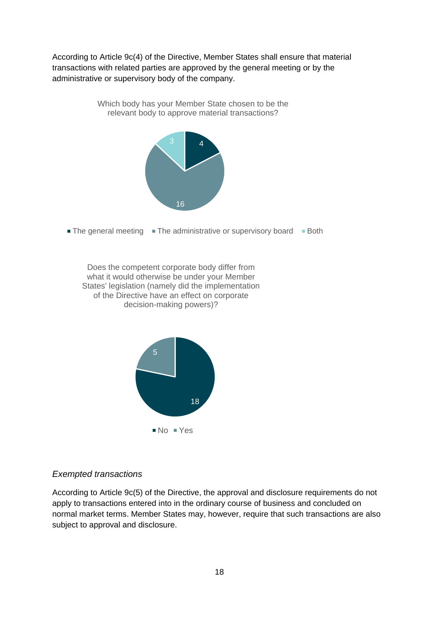According to Article 9c(4) of the Directive, Member States shall ensure that material transactions with related parties are approved by the general meeting or by the administrative or supervisory body of the company.

> Which body has your Member State chosen to be the relevant body to approve material transactions?



 $\blacksquare$  The general meeting  $\blacksquare$  The administrative or supervisory board  $\blacksquare$  Both

Does the competent corporate body differ from what it would otherwise be under your Member States' legislation (namely did the implementation of the Directive have an effect on corporate decision-making powers)?



#### *Exempted transactions*

According to Article 9c(5) of the Directive, the approval and disclosure requirements do not apply to transactions entered into in the ordinary course of business and concluded on normal market terms. Member States may, however, require that such transactions are also subject to approval and disclosure.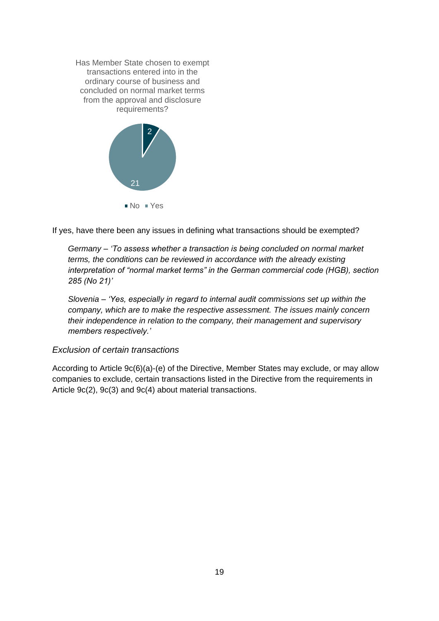

If yes, have there been any issues in defining what transactions should be exempted?

*Germany – 'To assess whether a transaction is being concluded on normal market terms, the conditions can be reviewed in accordance with the already existing interpretation of "normal market terms" in the German commercial code (HGB), section 285 (No 21)'*

*Slovenia – 'Yes, especially in regard to internal audit commissions set up within the company, which are to make the respective assessment. The issues mainly concern their independence in relation to the company, their management and supervisory members respectively.'*

#### *Exclusion of certain transactions*

According to Article 9c(6)(a)-(e) of the Directive, Member States may exclude, or may allow companies to exclude, certain transactions listed in the Directive from the requirements in Article 9c(2), 9c(3) and 9c(4) about material transactions.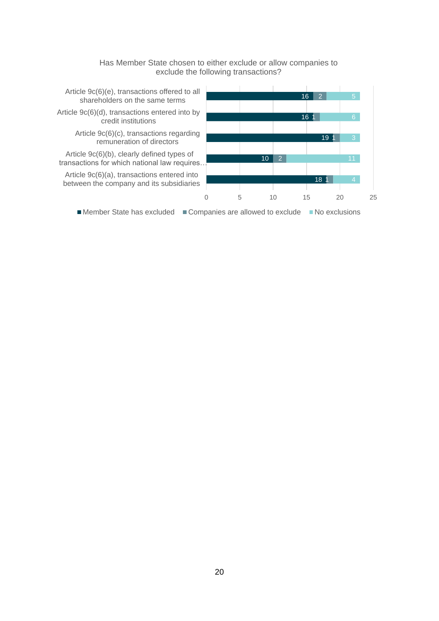

Has Member State chosen to either exclude or allow companies to exclude the following transactions?